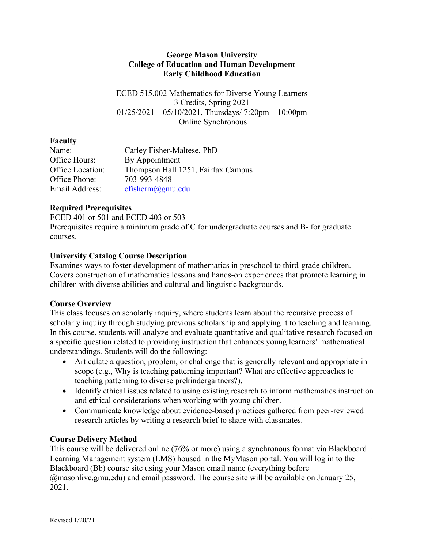#### **George Mason University College of Education and Human Development Early Childhood Education**

ECED 515.002 Mathematics for Diverse Young Learners 3 Credits, Spring 2021  $01/25/2021 - 05/10/2021$ , Thursdays/ 7:20pm – 10:00pm Online Synchronous

# **Faculty**

| Name:            | Carley Fisher-Maltese, PhD         |
|------------------|------------------------------------|
| Office Hours:    | By Appointment                     |
| Office Location: | Thompson Hall 1251, Fairfax Campus |
| Office Phone:    | 703-993-4848                       |
| Email Address:   | cfisherm@gmu.edu                   |

# **Required Prerequisites**

ECED 401 or 501 and ECED 403 or 503 Prerequisites require a minimum grade of C for undergraduate courses and B- for graduate courses.

# **University Catalog Course Description**

Examines ways to foster development of mathematics in preschool to third-grade children. Covers construction of mathematics lessons and hands-on experiences that promote learning in children with diverse abilities and cultural and linguistic backgrounds.

### **Course Overview**

This class focuses on scholarly inquiry, where students learn about the recursive process of scholarly inquiry through studying previous scholarship and applying it to teaching and learning. In this course, students will analyze and evaluate quantitative and qualitative research focused on a specific question related to providing instruction that enhances young learners' mathematical understandings. Students will do the following:

- Articulate a question, problem, or challenge that is generally relevant and appropriate in scope (e.g., Why is teaching patterning important? What are effective approaches to teaching patterning to diverse prekindergartners?).
- Identify ethical issues related to using existing research to inform mathematics instruction and ethical considerations when working with young children.
- Communicate knowledge about evidence-based practices gathered from peer-reviewed research articles by writing a research brief to share with classmates.

# **Course Delivery Method**

This course will be delivered online (76% or more) using a synchronous format via Blackboard Learning Management system (LMS) housed in the MyMason portal. You will log in to the Blackboard (Bb) course site using your Mason email name (everything before @masonlive.gmu.edu) and email password. The course site will be available on January 25, 2021.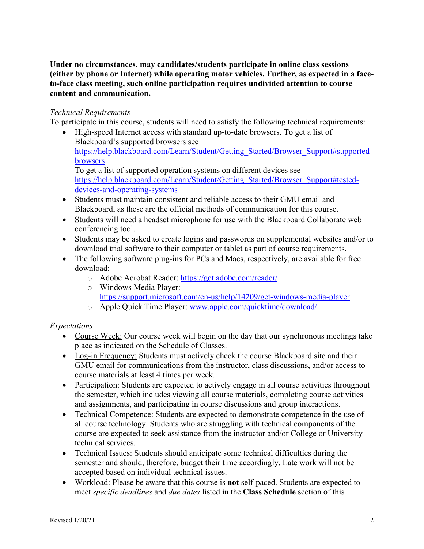**Under no circumstances, may candidates/students participate in online class sessions (either by phone or Internet) while operating motor vehicles. Further, as expected in a faceto-face class meeting, such online participation requires undivided attention to course content and communication.**

#### *Technical Requirements*

To participate in this course, students will need to satisfy the following technical requirements:

- High-speed Internet access with standard up-to-date browsers. To get a list of Blackboard's supported browsers see https://help.blackboard.com/Learn/Student/Getting\_Started/Browser\_Support#supportedbrowsers To get a list of supported operation systems on different devices see https://help.blackboard.com/Learn/Student/Getting\_Started/Browser\_Support#testeddevices-and-operating-systems
- Students must maintain consistent and reliable access to their GMU email and Blackboard, as these are the official methods of communication for this course.
- Students will need a headset microphone for use with the Blackboard Collaborate web conferencing tool.
- Students may be asked to create logins and passwords on supplemental websites and/or to download trial software to their computer or tablet as part of course requirements.
- The following software plug-ins for PCs and Macs, respectively, are available for free download:
	- o Adobe Acrobat Reader: https://get.adobe.com/reader/
	- o Windows Media Player: https://support.microsoft.com/en-us/help/14209/get-windows-media-player
	- o Apple Quick Time Player: www.apple.com/quicktime/download/

### *Expectations*

- Course Week: Our course week will begin on the day that our synchronous meetings take place as indicated on the Schedule of Classes.
- Log-in Frequency: Students must actively check the course Blackboard site and their GMU email for communications from the instructor, class discussions, and/or access to course materials at least 4 times per week.
- Participation: Students are expected to actively engage in all course activities throughout the semester, which includes viewing all course materials, completing course activities and assignments, and participating in course discussions and group interactions.
- Technical Competence: Students are expected to demonstrate competence in the use of all course technology. Students who are struggling with technical components of the course are expected to seek assistance from the instructor and/or College or University technical services.
- Technical Issues: Students should anticipate some technical difficulties during the semester and should, therefore, budget their time accordingly. Late work will not be accepted based on individual technical issues.
- Workload: Please be aware that this course is **not** self-paced. Students are expected to meet *specific deadlines* and *due dates* listed in the **Class Schedule** section of this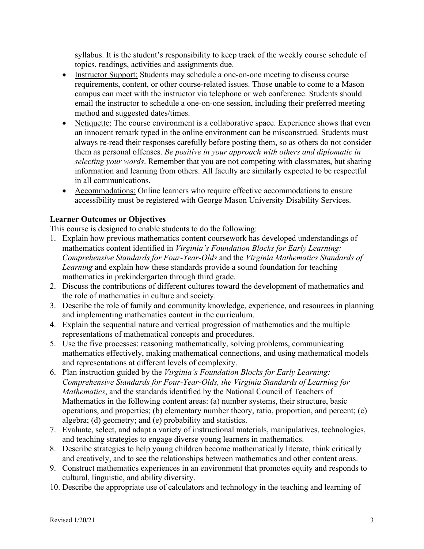syllabus. It is the student's responsibility to keep track of the weekly course schedule of topics, readings, activities and assignments due.

- Instructor Support: Students may schedule a one-on-one meeting to discuss course requirements, content, or other course-related issues. Those unable to come to a Mason campus can meet with the instructor via telephone or web conference. Students should email the instructor to schedule a one-on-one session, including their preferred meeting method and suggested dates/times.
- Netiquette: The course environment is a collaborative space. Experience shows that even an innocent remark typed in the online environment can be misconstrued. Students must always re-read their responses carefully before posting them, so as others do not consider them as personal offenses. *Be positive in your approach with others and diplomatic in selecting your words*. Remember that you are not competing with classmates, but sharing information and learning from others. All faculty are similarly expected to be respectful in all communications.
- Accommodations: Online learners who require effective accommodations to ensure accessibility must be registered with George Mason University Disability Services.

### **Learner Outcomes or Objectives**

This course is designed to enable students to do the following:

- 1. Explain how previous mathematics content coursework has developed understandings of mathematics content identified in *Virginia's Foundation Blocks for Early Learning: Comprehensive Standards for Four-Year-Olds* and the *Virginia Mathematics Standards of Learning* and explain how these standards provide a sound foundation for teaching mathematics in prekindergarten through third grade.
- 2. Discuss the contributions of different cultures toward the development of mathematics and the role of mathematics in culture and society.
- 3. Describe the role of family and community knowledge, experience, and resources in planning and implementing mathematics content in the curriculum.
- 4. Explain the sequential nature and vertical progression of mathematics and the multiple representations of mathematical concepts and procedures.
- 5. Use the five processes: reasoning mathematically, solving problems, communicating mathematics effectively, making mathematical connections, and using mathematical models and representations at different levels of complexity.
- 6. Plan instruction guided by the *Virginia's Foundation Blocks for Early Learning: Comprehensive Standards for Four-Year-Olds, the Virginia Standards of Learning for Mathematics*, and the standards identified by the National Council of Teachers of Mathematics in the following content areas: (a) number systems, their structure, basic operations, and properties; (b) elementary number theory, ratio, proportion, and percent; (c) algebra; (d) geometry; and (e) probability and statistics.
- 7. Evaluate, select, and adapt a variety of instructional materials, manipulatives, technologies, and teaching strategies to engage diverse young learners in mathematics.
- 8. Describe strategies to help young children become mathematically literate, think critically and creatively, and to see the relationships between mathematics and other content areas.
- 9. Construct mathematics experiences in an environment that promotes equity and responds to cultural, linguistic, and ability diversity.
- 10. Describe the appropriate use of calculators and technology in the teaching and learning of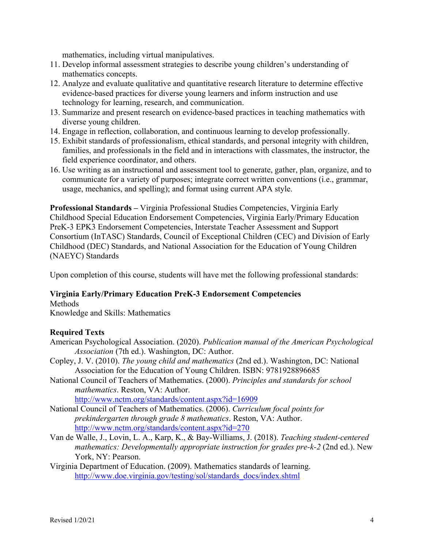mathematics, including virtual manipulatives.

- 11. Develop informal assessment strategies to describe young children's understanding of mathematics concepts.
- 12. Analyze and evaluate qualitative and quantitative research literature to determine effective evidence-based practices for diverse young learners and inform instruction and use technology for learning, research, and communication.
- 13. Summarize and present research on evidence-based practices in teaching mathematics with diverse young children.
- 14. Engage in reflection, collaboration, and continuous learning to develop professionally.
- 15. Exhibit standards of professionalism, ethical standards, and personal integrity with children, families, and professionals in the field and in interactions with classmates, the instructor, the field experience coordinator, and others.
- 16. Use writing as an instructional and assessment tool to generate, gather, plan, organize, and to communicate for a variety of purposes; integrate correct written conventions (i.e., grammar, usage, mechanics, and spelling); and format using current APA style.

**Professional Standards –** Virginia Professional Studies Competencies, Virginia Early Childhood Special Education Endorsement Competencies, Virginia Early/Primary Education PreK-3 EPK3 Endorsement Competencies, Interstate Teacher Assessment and Support Consortium (InTASC) Standards, Council of Exceptional Children (CEC) and Division of Early Childhood (DEC) Standards, and National Association for the Education of Young Children (NAEYC) Standards

Upon completion of this course, students will have met the following professional standards:

### **Virginia Early/Primary Education PreK-3 Endorsement Competencies**

Methods

Knowledge and Skills: Mathematics

### **Required Texts**

- American Psychological Association. (2020). *Publication manual of the American Psychological Association* (7th ed.). Washington, DC: Author.
- Copley, J. V. (2010). *The young child and mathematics* (2nd ed.). Washington, DC: National Association for the Education of Young Children. ISBN: 9781928896685
- National Council of Teachers of Mathematics. (2000). *Principles and standards for school mathematics*. Reston, VA: Author. http://www.nctm.org/standards/content.aspx?id=16909

National Council of Teachers of Mathematics. (2006). *Curriculum focal points for prekindergarten through grade 8 mathematics*. Reston, VA: Author. http://www.nctm.org/standards/content.aspx?id=270

Van de Walle, J., Lovin, L. A., Karp, K., & Bay-Williams, J. (2018). *Teaching student-centered mathematics: Developmentally appropriate instruction for grades pre-k-2 (2nd ed.).* New York, NY: Pearson.

Virginia Department of Education. (2009). Mathematics standards of learning. http://www.doe.virginia.gov/testing/sol/standards\_docs/index.shtml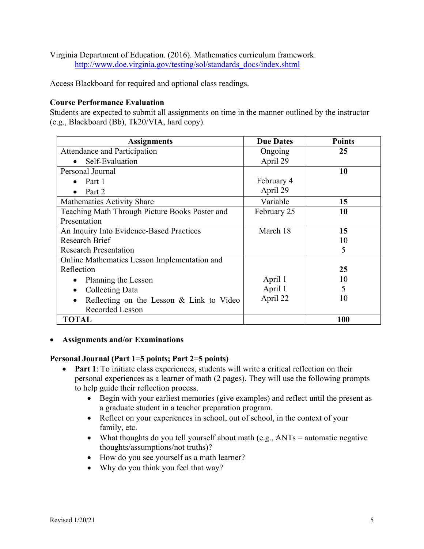Virginia Department of Education. (2016). Mathematics curriculum framework. http://www.doe.virginia.gov/testing/sol/standards\_docs/index.shtml

Access Blackboard for required and optional class readings.

#### **Course Performance Evaluation**

Students are expected to submit all assignments on time in the manner outlined by the instructor (e.g., Blackboard (Bb), Tk20/VIA, hard copy).

| <b>Assignments</b>                             | <b>Due Dates</b> | <b>Points</b> |
|------------------------------------------------|------------------|---------------|
| Attendance and Participation                   | Ongoing          | 25            |
| Self-Evaluation                                | April 29         |               |
| Personal Journal                               |                  | 10            |
| Part 1                                         | February 4       |               |
| Part 2                                         | April 29         |               |
| Mathematics Activity Share                     | Variable         | 15            |
| Teaching Math Through Picture Books Poster and | February 25      | 10            |
| Presentation                                   |                  |               |
| An Inquiry Into Evidence-Based Practices       | March 18         | 15            |
| <b>Research Brief</b>                          |                  | 10            |
| <b>Research Presentation</b>                   |                  | 5             |
| Online Mathematics Lesson Implementation and   |                  |               |
| Reflection                                     |                  | 25            |
| Planning the Lesson                            | April 1          | 10            |
| Collecting Data                                | April 1          | 5             |
| Reflecting on the Lesson & Link to Video       | April 22         | 10            |
| <b>Recorded Lesson</b>                         |                  |               |
| <b>TOTAL</b>                                   |                  | 100           |

• **Assignments and/or Examinations**

#### **Personal Journal (Part 1=5 points; Part 2=5 points)**

- **Part 1**: To initiate class experiences, students will write a critical reflection on their personal experiences as a learner of math (2 pages). They will use the following prompts to help guide their reflection process.
	- Begin with your earliest memories (give examples) and reflect until the present as a graduate student in a teacher preparation program.
	- Reflect on your experiences in school, out of school, in the context of your family, etc.
	- What thoughts do you tell yourself about math (e.g.,  $ANTs =$  automatic negative thoughts/assumptions/not truths)?
	- How do you see yourself as a math learner?
	- Why do you think you feel that way?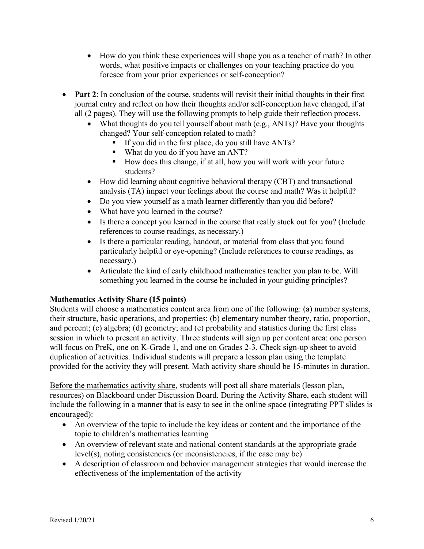- How do you think these experiences will shape you as a teacher of math? In other words, what positive impacts or challenges on your teaching practice do you foresee from your prior experiences or self-conception?
- **Part 2**: In conclusion of the course, students will revisit their initial thoughts in their first journal entry and reflect on how their thoughts and/or self-conception have changed, if at all (2 pages). They will use the following prompts to help guide their reflection process.
	- What thoughts do you tell yourself about math (e.g., ANTs)? Have your thoughts changed? Your self-conception related to math?
		- § If you did in the first place, do you still have ANTs?
		- What do you do if you have an ANT?
		- How does this change, if at all, how you will work with your future students?
	- How did learning about cognitive behavioral therapy (CBT) and transactional analysis (TA) impact your feelings about the course and math? Was it helpful?
	- Do you view yourself as a math learner differently than you did before?
	- What have you learned in the course?
	- Is there a concept you learned in the course that really stuck out for you? (Include references to course readings, as necessary.)
	- Is there a particular reading, handout, or material from class that you found particularly helpful or eye-opening? (Include references to course readings, as necessary.)
	- Articulate the kind of early childhood mathematics teacher you plan to be. Will something you learned in the course be included in your guiding principles?

### **Mathematics Activity Share (15 points)**

Students will choose a mathematics content area from one of the following: (a) number systems, their structure, basic operations, and properties; (b) elementary number theory, ratio, proportion, and percent; (c) algebra; (d) geometry; and (e) probability and statistics during the first class session in which to present an activity. Three students will sign up per content area: one person will focus on PreK, one on K-Grade 1, and one on Grades 2-3. Check sign-up sheet to avoid duplication of activities. Individual students will prepare a lesson plan using the template provided for the activity they will present. Math activity share should be 15-minutes in duration.

Before the mathematics activity share, students will post all share materials (lesson plan, resources) on Blackboard under Discussion Board. During the Activity Share, each student will include the following in a manner that is easy to see in the online space (integrating PPT slides is encouraged):

- An overview of the topic to include the key ideas or content and the importance of the topic to children's mathematics learning
- An overview of relevant state and national content standards at the appropriate grade level(s), noting consistencies (or inconsistencies, if the case may be)
- A description of classroom and behavior management strategies that would increase the effectiveness of the implementation of the activity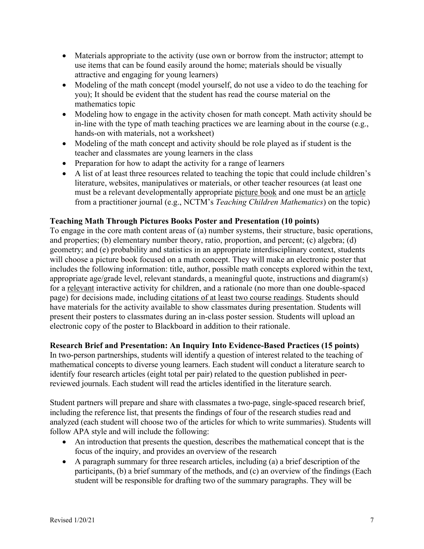- Materials appropriate to the activity (use own or borrow from the instructor; attempt to use items that can be found easily around the home; materials should be visually attractive and engaging for young learners)
- Modeling of the math concept (model yourself, do not use a video to do the teaching for you); It should be evident that the student has read the course material on the mathematics topic
- Modeling how to engage in the activity chosen for math concept. Math activity should be in-line with the type of math teaching practices we are learning about in the course (e.g., hands-on with materials, not a worksheet)
- Modeling of the math concept and activity should be role played as if student is the teacher and classmates are young learners in the class
- Preparation for how to adapt the activity for a range of learners
- A list of at least three resources related to teaching the topic that could include children's literature, websites, manipulatives or materials, or other teacher resources (at least one must be a relevant developmentally appropriate picture book and one must be an article from a practitioner journal (e.g., NCTM's *Teaching Children Mathematics*) on the topic)

### **Teaching Math Through Pictures Books Poster and Presentation (10 points)**

To engage in the core math content areas of (a) number systems, their structure, basic operations, and properties; (b) elementary number theory, ratio, proportion, and percent; (c) algebra; (d) geometry; and (e) probability and statistics in an appropriate interdisciplinary context, students will choose a picture book focused on a math concept. They will make an electronic poster that includes the following information: title, author, possible math concepts explored within the text, appropriate age/grade level, relevant standards, a meaningful quote, instructions and diagram(s) for a relevant interactive activity for children, and a rationale (no more than one double-spaced page) for decisions made, including citations of at least two course readings. Students should have materials for the activity available to show classmates during presentation. Students will present their posters to classmates during an in-class poster session. Students will upload an electronic copy of the poster to Blackboard in addition to their rationale.

### **Research Brief and Presentation: An Inquiry Into Evidence-Based Practices (15 points)**

In two-person partnerships, students will identify a question of interest related to the teaching of mathematical concepts to diverse young learners. Each student will conduct a literature search to identify four research articles (eight total per pair) related to the question published in peerreviewed journals. Each student will read the articles identified in the literature search.

Student partners will prepare and share with classmates a two-page, single-spaced research brief, including the reference list, that presents the findings of four of the research studies read and analyzed (each student will choose two of the articles for which to write summaries). Students will follow APA style and will include the following:

- An introduction that presents the question, describes the mathematical concept that is the focus of the inquiry, and provides an overview of the research
- A paragraph summary for three research articles, including (a) a brief description of the participants, (b) a brief summary of the methods, and (c) an overview of the findings (Each student will be responsible for drafting two of the summary paragraphs. They will be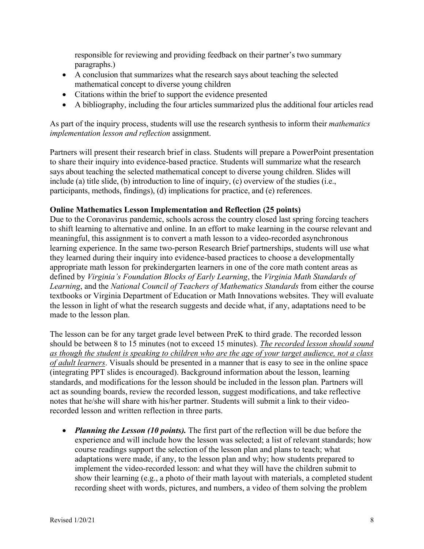responsible for reviewing and providing feedback on their partner's two summary paragraphs.)

- A conclusion that summarizes what the research says about teaching the selected mathematical concept to diverse young children
- Citations within the brief to support the evidence presented
- A bibliography, including the four articles summarized plus the additional four articles read

As part of the inquiry process, students will use the research synthesis to inform their *mathematics implementation lesson and reflection* assignment.

Partners will present their research brief in class. Students will prepare a PowerPoint presentation to share their inquiry into evidence-based practice. Students will summarize what the research says about teaching the selected mathematical concept to diverse young children. Slides will include (a) title slide, (b) introduction to line of inquiry, (c) overview of the studies (i.e., participants, methods, findings), (d) implications for practice, and (e) references.

#### **Online Mathematics Lesson Implementation and Reflection (25 points)**

Due to the Coronavirus pandemic, schools across the country closed last spring forcing teachers to shift learning to alternative and online. In an effort to make learning in the course relevant and meaningful, this assignment is to convert a math lesson to a video-recorded asynchronous learning experience. In the same two-person Research Brief partnerships, students will use what they learned during their inquiry into evidence-based practices to choose a developmentally appropriate math lesson for prekindergarten learners in one of the core math content areas as defined by *Virginia's Foundation Blocks of Early Learning*, the *Virginia Math Standards of Learning*, and the *National Council of Teachers of Mathematics Standards* from either the course textbooks or Virginia Department of Education or Math Innovations websites. They will evaluate the lesson in light of what the research suggests and decide what, if any, adaptations need to be made to the lesson plan.

The lesson can be for any target grade level between PreK to third grade. The recorded lesson should be between 8 to 15 minutes (not to exceed 15 minutes). *The recorded lesson should sound as though the student is speaking to children who are the age of your target audience, not a class of adult learners*. Visuals should be presented in a manner that is easy to see in the online space (integrating PPT slides is encouraged). Background information about the lesson, learning standards, and modifications for the lesson should be included in the lesson plan. Partners will act as sounding boards, review the recorded lesson, suggest modifications, and take reflective notes that he/she will share with his/her partner. Students will submit a link to their videorecorded lesson and written reflection in three parts.

• *Planning the Lesson (10 points).* The first part of the reflection will be due before the experience and will include how the lesson was selected; a list of relevant standards; how course readings support the selection of the lesson plan and plans to teach; what adaptations were made, if any, to the lesson plan and why; how students prepared to implement the video-recorded lesson: and what they will have the children submit to show their learning (e.g., a photo of their math layout with materials, a completed student recording sheet with words, pictures, and numbers, a video of them solving the problem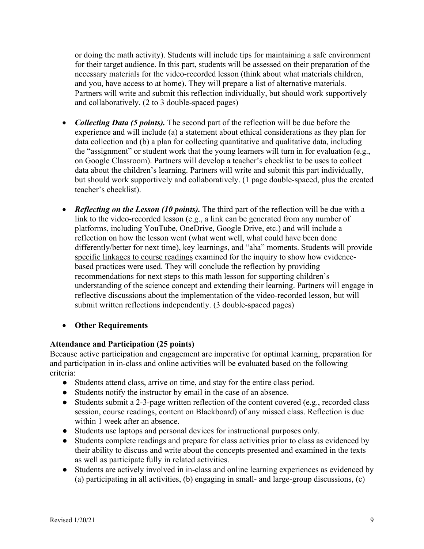or doing the math activity). Students will include tips for maintaining a safe environment for their target audience. In this part, students will be assessed on their preparation of the necessary materials for the video-recorded lesson (think about what materials children, and you, have access to at home). They will prepare a list of alternative materials. Partners will write and submit this reflection individually, but should work supportively and collaboratively. (2 to 3 double-spaced pages)

- *Collecting Data (5 points).* The second part of the reflection will be due before the experience and will include (a) a statement about ethical considerations as they plan for data collection and (b) a plan for collecting quantitative and qualitative data, including the "assignment" or student work that the young learners will turn in for evaluation (e.g., on Google Classroom). Partners will develop a teacher's checklist to be uses to collect data about the children's learning. Partners will write and submit this part individually, but should work supportively and collaboratively. (1 page double-spaced, plus the created teacher's checklist).
- *Reflecting on the Lesson (10 points).* The third part of the reflection will be due with a link to the video-recorded lesson (e.g., a link can be generated from any number of platforms, including YouTube, OneDrive, Google Drive, etc.) and will include a reflection on how the lesson went (what went well, what could have been done differently/better for next time), key learnings, and "aha" moments. Students will provide specific linkages to course readings examined for the inquiry to show how evidencebased practices were used. They will conclude the reflection by providing recommendations for next steps to this math lesson for supporting children's understanding of the science concept and extending their learning. Partners will engage in reflective discussions about the implementation of the video-recorded lesson, but will submit written reflections independently. (3 double-spaced pages)

### • **Other Requirements**

### **Attendance and Participation (25 points)**

Because active participation and engagement are imperative for optimal learning, preparation for and participation in in-class and online activities will be evaluated based on the following criteria:

- Students attend class, arrive on time, and stay for the entire class period.
- Students notify the instructor by email in the case of an absence.
- Students submit a 2-3-page written reflection of the content covered (e.g., recorded class session, course readings, content on Blackboard) of any missed class. Reflection is due within 1 week after an absence.
- Students use laptops and personal devices for instructional purposes only.
- Students complete readings and prepare for class activities prior to class as evidenced by their ability to discuss and write about the concepts presented and examined in the texts as well as participate fully in related activities.
- Students are actively involved in in-class and online learning experiences as evidenced by (a) participating in all activities, (b) engaging in small- and large-group discussions, (c)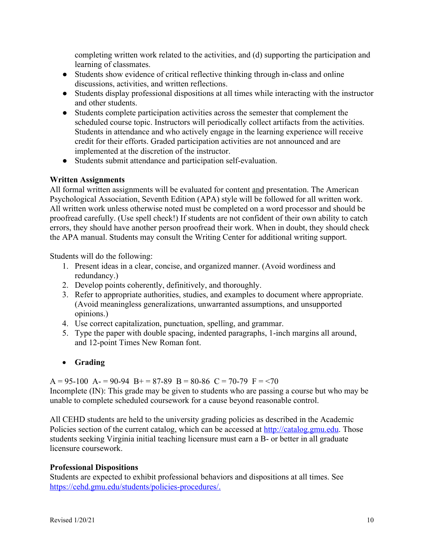completing written work related to the activities, and (d) supporting the participation and learning of classmates.

- Students show evidence of critical reflective thinking through in-class and online discussions, activities, and written reflections.
- Students display professional dispositions at all times while interacting with the instructor and other students.
- Students complete participation activities across the semester that complement the scheduled course topic. Instructors will periodically collect artifacts from the activities. Students in attendance and who actively engage in the learning experience will receive credit for their efforts. Graded participation activities are not announced and are implemented at the discretion of the instructor.
- Students submit attendance and participation self-evaluation.

### **Written Assignments**

All formal written assignments will be evaluated for content and presentation. The American Psychological Association, Seventh Edition (APA) style will be followed for all written work. All written work unless otherwise noted must be completed on a word processor and should be proofread carefully. (Use spell check!) If students are not confident of their own ability to catch errors, they should have another person proofread their work. When in doubt, they should check the APA manual. Students may consult the Writing Center for additional writing support.

Students will do the following:

- 1. Present ideas in a clear, concise, and organized manner. (Avoid wordiness and redundancy.)
- 2. Develop points coherently, definitively, and thoroughly.
- 3. Refer to appropriate authorities, studies, and examples to document where appropriate. (Avoid meaningless generalizations, unwarranted assumptions, and unsupported opinions.)
- 4. Use correct capitalization, punctuation, spelling, and grammar.
- 5. Type the paper with double spacing, indented paragraphs, 1-inch margins all around, and 12-point Times New Roman font.
- **Grading**

 $A = 95-100$   $A = 90-94$   $B = 87-89$   $B = 80-86$   $C = 70-79$   $F = 70$ Incomplete (IN): This grade may be given to students who are passing a course but who may be unable to complete scheduled coursework for a cause beyond reasonable control.

All CEHD students are held to the university grading policies as described in the Academic Policies section of the current catalog, which can be accessed at http://catalog.gmu.edu. Those students seeking Virginia initial teaching licensure must earn a B- or better in all graduate licensure coursework.

### **Professional Dispositions**

Students are expected to exhibit professional behaviors and dispositions at all times. See https://cehd.gmu.edu/students/policies-procedures/.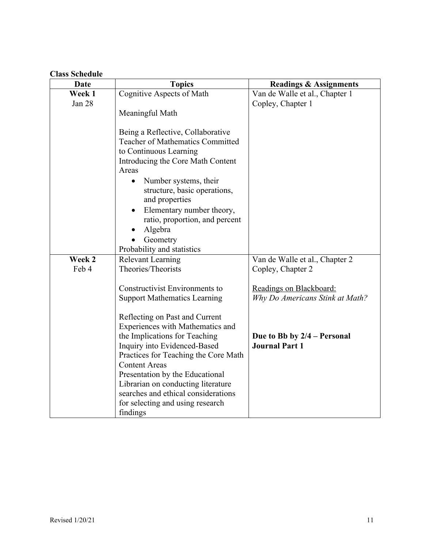# **Class Schedule**

| <b>Date</b> | <b>Topics</b>                                                                                                                                                                                                                                                                                                                                                       | <b>Readings &amp; Assignments</b>                          |
|-------------|---------------------------------------------------------------------------------------------------------------------------------------------------------------------------------------------------------------------------------------------------------------------------------------------------------------------------------------------------------------------|------------------------------------------------------------|
| Week 1      | Cognitive Aspects of Math                                                                                                                                                                                                                                                                                                                                           | Van de Walle et al., Chapter 1                             |
| Jan 28      | Meaningful Math                                                                                                                                                                                                                                                                                                                                                     | Copley, Chapter 1                                          |
|             | Being a Reflective, Collaborative<br><b>Teacher of Mathematics Committed</b><br>to Continuous Learning<br>Introducing the Core Math Content<br>Areas<br>Number systems, their<br>structure, basic operations,<br>and properties<br>Elementary number theory,<br>ratio, proportion, and percent<br>Algebra<br>Geometry<br>Probability and statistics                 |                                                            |
| Week 2      | <b>Relevant Learning</b>                                                                                                                                                                                                                                                                                                                                            | Van de Walle et al., Chapter 2                             |
| Feb 4       | Theories/Theorists                                                                                                                                                                                                                                                                                                                                                  | Copley, Chapter 2                                          |
|             | <b>Constructivist Environments to</b><br><b>Support Mathematics Learning</b>                                                                                                                                                                                                                                                                                        | Readings on Blackboard:<br>Why Do Americans Stink at Math? |
|             | Reflecting on Past and Current<br>Experiences with Mathematics and<br>the Implications for Teaching<br>Inquiry into Evidenced-Based<br>Practices for Teaching the Core Math<br><b>Content Areas</b><br>Presentation by the Educational<br>Librarian on conducting literature<br>searches and ethical considerations<br>for selecting and using research<br>findings | Due to Bb by 2/4 – Personal<br><b>Journal Part 1</b>       |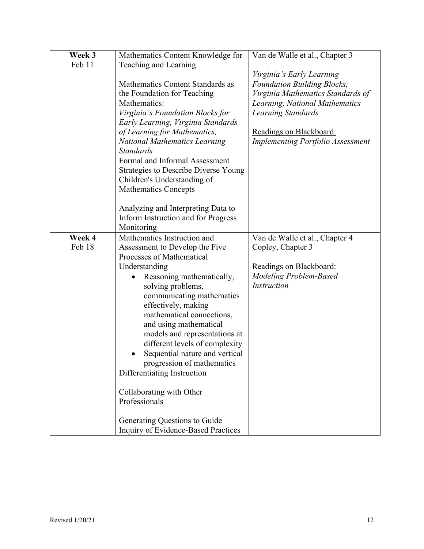| Week 3 | Mathematics Content Knowledge for           | Van de Walle et al., Chapter 3           |
|--------|---------------------------------------------|------------------------------------------|
| Feb 11 | Teaching and Learning                       |                                          |
|        |                                             | Virginia's Early Learning                |
|        | Mathematics Content Standards as            | <b>Foundation Building Blocks,</b>       |
|        | the Foundation for Teaching                 | Virginia Mathematics Standards of        |
|        | Mathematics:                                | Learning, National Mathematics           |
|        | Virginia's Foundation Blocks for            | <b>Learning Standards</b>                |
|        | Early Learning, Virginia Standards          |                                          |
|        | of Learning for Mathematics,                | Readings on Blackboard:                  |
|        | <b>National Mathematics Learning</b>        | <b>Implementing Portfolio Assessment</b> |
|        | <b>Standards</b>                            |                                          |
|        | Formal and Informal Assessment              |                                          |
|        | <b>Strategies to Describe Diverse Young</b> |                                          |
|        | Children's Understanding of                 |                                          |
|        | <b>Mathematics Concepts</b>                 |                                          |
|        |                                             |                                          |
|        | Analyzing and Interpreting Data to          |                                          |
|        | Inform Instruction and for Progress         |                                          |
|        | Monitoring                                  |                                          |
| Week 4 | Mathematics Instruction and                 | Van de Walle et al., Chapter 4           |
| Feb 18 | Assessment to Develop the Five              | Copley, Chapter 3                        |
|        | Processes of Mathematical                   |                                          |
|        | Understanding                               | Readings on Blackboard:                  |
|        | Reasoning mathematically,                   | <b>Modeling Problem-Based</b>            |
|        | solving problems,                           | <i>Instruction</i>                       |
|        | communicating mathematics                   |                                          |
|        | effectively, making                         |                                          |
|        | mathematical connections,                   |                                          |
|        | and using mathematical                      |                                          |
|        | models and representations at               |                                          |
|        | different levels of complexity              |                                          |
|        | Sequential nature and vertical              |                                          |
|        | progression of mathematics                  |                                          |
|        | Differentiating Instruction                 |                                          |
|        |                                             |                                          |
|        | Collaborating with Other                    |                                          |
|        | Professionals                               |                                          |
|        |                                             |                                          |
|        | Generating Questions to Guide               |                                          |
|        | Inquiry of Evidence-Based Practices         |                                          |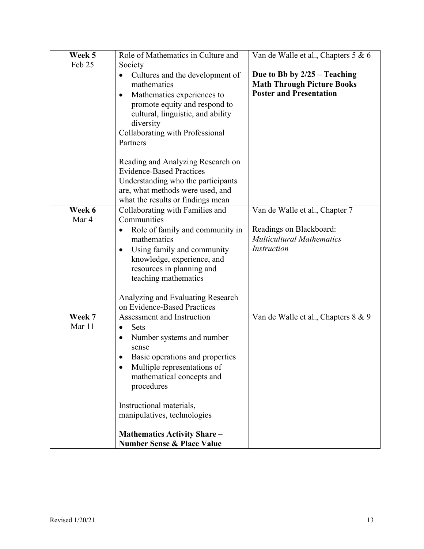| Week 5           | Role of Mathematics in Culture and                                                                                                                                                                                                                                                                                                                         | Van de Walle et al., Chapters 5 & 6                                                                   |
|------------------|------------------------------------------------------------------------------------------------------------------------------------------------------------------------------------------------------------------------------------------------------------------------------------------------------------------------------------------------------------|-------------------------------------------------------------------------------------------------------|
| Feb 25           | Society                                                                                                                                                                                                                                                                                                                                                    |                                                                                                       |
|                  | Cultures and the development of<br>$\bullet$<br>mathematics<br>Mathematics experiences to<br>$\bullet$<br>promote equity and respond to<br>cultural, linguistic, and ability<br>diversity<br>Collaborating with Professional<br>Partners                                                                                                                   | Due to Bb by $2/25 -$ Teaching<br><b>Math Through Picture Books</b><br><b>Poster and Presentation</b> |
|                  | Reading and Analyzing Research on<br><b>Evidence-Based Practices</b><br>Understanding who the participants<br>are, what methods were used, and<br>what the results or findings mean                                                                                                                                                                        |                                                                                                       |
| Week 6           | Collaborating with Families and                                                                                                                                                                                                                                                                                                                            | Van de Walle et al., Chapter 7                                                                        |
| Mar 4            | Communities                                                                                                                                                                                                                                                                                                                                                |                                                                                                       |
|                  | Role of family and community in<br>$\bullet$<br>mathematics<br>Using family and community<br>$\bullet$<br>knowledge, experience, and<br>resources in planning and<br>teaching mathematics                                                                                                                                                                  | Readings on Blackboard:<br><b>Multicultural Mathematics</b><br><b>Instruction</b>                     |
|                  | Analyzing and Evaluating Research<br>on Evidence-Based Practices                                                                                                                                                                                                                                                                                           |                                                                                                       |
| Week 7<br>Mar 11 | Assessment and Instruction<br>Sets<br>$\bullet$<br>Number systems and number<br>$\bullet$<br>sense<br>Basic operations and properties<br>Multiple representations of<br>mathematical concepts and<br>procedures<br>Instructional materials,<br>manipulatives, technologies<br><b>Mathematics Activity Share -</b><br><b>Number Sense &amp; Place Value</b> | Van de Walle et al., Chapters 8 & 9                                                                   |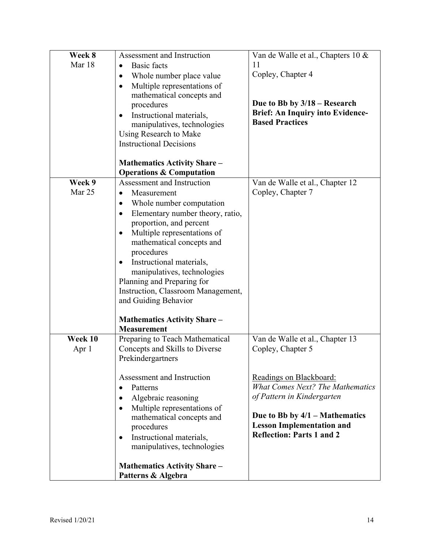| Week 8<br>Mar 18 | Assessment and Instruction<br><b>Basic</b> facts<br>$\bullet$<br>Whole number place value<br>$\bullet$<br>Multiple representations of<br>$\bullet$<br>mathematical concepts and<br>procedures<br>Instructional materials,<br>$\bullet$<br>manipulatives, technologies<br>Using Research to Make<br><b>Instructional Decisions</b><br><b>Mathematics Activity Share –</b><br><b>Operations &amp; Computation</b>                                                                                     | Van de Walle et al., Chapters 10 &<br>11<br>Copley, Chapter 4<br>Due to Bb by $3/18$ – Research<br><b>Brief: An Inquiry into Evidence-</b><br><b>Based Practices</b>                                                                                                 |
|------------------|-----------------------------------------------------------------------------------------------------------------------------------------------------------------------------------------------------------------------------------------------------------------------------------------------------------------------------------------------------------------------------------------------------------------------------------------------------------------------------------------------------|----------------------------------------------------------------------------------------------------------------------------------------------------------------------------------------------------------------------------------------------------------------------|
| Week 9<br>Mar 25 | Assessment and Instruction<br>Measurement<br>$\bullet$<br>Whole number computation<br>$\bullet$<br>Elementary number theory, ratio,<br>$\bullet$<br>proportion, and percent<br>Multiple representations of<br>$\bullet$<br>mathematical concepts and<br>procedures<br>Instructional materials,<br>$\bullet$<br>manipulatives, technologies<br>Planning and Preparing for<br>Instruction, Classroom Management,<br>and Guiding Behavior<br><b>Mathematics Activity Share -</b><br><b>Measurement</b> | Van de Walle et al., Chapter 12<br>Copley, Chapter 7                                                                                                                                                                                                                 |
| Week 10<br>Apr 1 | Preparing to Teach Mathematical<br>Concepts and Skills to Diverse<br>Prekindergartners<br>Assessment and Instruction<br>Patterns<br>$\bullet$<br>Algebraic reasoning<br>$\bullet$<br>Multiple representations of<br>$\bullet$<br>mathematical concepts and<br>procedures<br>Instructional materials,<br>$\bullet$<br>manipulatives, technologies<br><b>Mathematics Activity Share -</b><br>Patterns & Algebra                                                                                       | Van de Walle et al., Chapter 13<br>Copley, Chapter 5<br>Readings on Blackboard:<br><b>What Comes Next? The Mathematics</b><br>of Pattern in Kindergarten<br>Due to Bb by $4/1$ – Mathematics<br><b>Lesson Implementation and</b><br><b>Reflection: Parts 1 and 2</b> |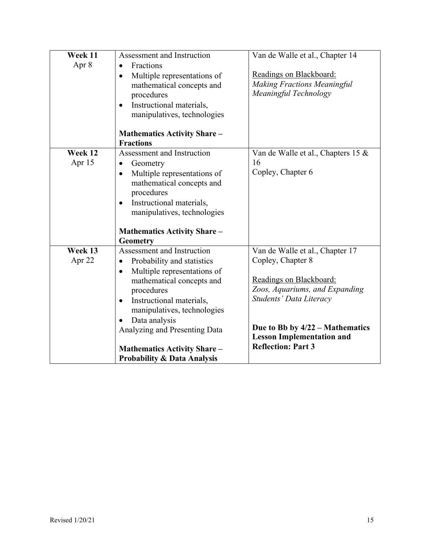| Week 11 | Assessment and Instruction                                                                                                                                                                                     |                                                                                        |
|---------|----------------------------------------------------------------------------------------------------------------------------------------------------------------------------------------------------------------|----------------------------------------------------------------------------------------|
|         |                                                                                                                                                                                                                | Van de Walle et al., Chapter 14                                                        |
| Apr 8   | Fractions<br>$\bullet$<br>Multiple representations of<br>$\bullet$<br>mathematical concepts and<br>procedures<br>Instructional materials,<br>$\bullet$                                                         | Readings on Blackboard:<br><b>Making Fractions Meaningful</b><br>Meaningful Technology |
|         | manipulatives, technologies<br><b>Mathematics Activity Share -</b><br><b>Fractions</b>                                                                                                                         |                                                                                        |
| Week 12 | Assessment and Instruction                                                                                                                                                                                     | Van de Walle et al., Chapters 15 &                                                     |
| Apr 15  | Geometry<br>$\bullet$                                                                                                                                                                                          | 16                                                                                     |
|         | Multiple representations of<br>$\bullet$<br>mathematical concepts and<br>procedures<br>Instructional materials,<br>$\bullet$<br>manipulatives, technologies<br><b>Mathematics Activity Share -</b><br>Geometry | Copley, Chapter 6                                                                      |
| Week 13 | Assessment and Instruction                                                                                                                                                                                     | Van de Walle et al., Chapter 17                                                        |
| Apr 22  | Probability and statistics<br>$\bullet$                                                                                                                                                                        | Copley, Chapter 8                                                                      |
|         | Multiple representations of<br>$\bullet$<br>mathematical concepts and<br>procedures<br>Instructional materials,<br>$\bullet$<br>manipulatives, technologies                                                    | Readings on Blackboard:<br>Zoos, Aquariums, and Expanding<br>Students' Data Literacy   |
|         | Data analysis<br>$\bullet$<br>Analyzing and Presenting Data                                                                                                                                                    | Due to Bb by $4/22$ – Mathematics<br><b>Lesson Implementation and</b>                  |
|         | <b>Mathematics Activity Share -</b><br><b>Probability &amp; Data Analysis</b>                                                                                                                                  | <b>Reflection: Part 3</b>                                                              |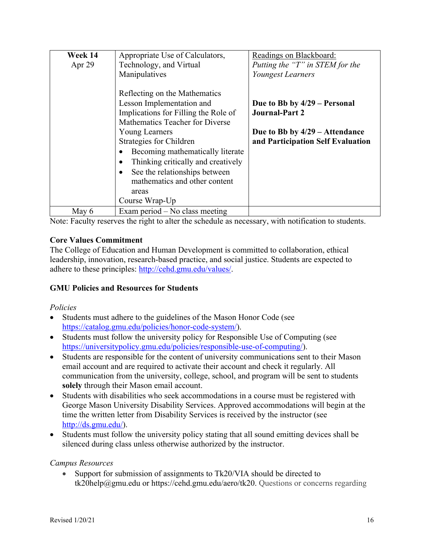| Week 14  | Appropriate Use of Calculators,                                                                                                                                                                                                                                     | Readings on Blackboard:                                                                                                        |
|----------|---------------------------------------------------------------------------------------------------------------------------------------------------------------------------------------------------------------------------------------------------------------------|--------------------------------------------------------------------------------------------------------------------------------|
| Apr $29$ | Technology, and Virtual                                                                                                                                                                                                                                             | Putting the "T" in STEM for the                                                                                                |
|          | Manipulatives                                                                                                                                                                                                                                                       | Youngest Learners                                                                                                              |
|          | Reflecting on the Mathematics<br>Lesson Implementation and<br>Implications for Filling the Role of<br>Mathematics Teacher for Diverse<br><b>Young Learners</b><br>Strategies for Children<br>Becoming mathematically literate<br>Thinking critically and creatively | Due to Bb by 4/29 – Personal<br><b>Journal-Part 2</b><br>Due to Bb by $4/29$ – Attendance<br>and Participation Self Evaluation |
|          | See the relationships between<br>$\bullet$<br>mathematics and other content<br>areas                                                                                                                                                                                |                                                                                                                                |
|          | Course Wrap-Up                                                                                                                                                                                                                                                      |                                                                                                                                |
| May 6    | Exam period $-$ No class meeting                                                                                                                                                                                                                                    |                                                                                                                                |

Note: Faculty reserves the right to alter the schedule as necessary, with notification to students.

### **Core Values Commitment**

The College of Education and Human Development is committed to collaboration, ethical leadership, innovation, research-based practice, and social justice. Students are expected to adhere to these principles: http://cehd.gmu.edu/values/.

### **GMU Policies and Resources for Students**

#### *Policies*

- Students must adhere to the guidelines of the Mason Honor Code (see https://catalog.gmu.edu/policies/honor-code-system/).
- Students must follow the university policy for Responsible Use of Computing (see https://universitypolicy.gmu.edu/policies/responsible-use-of-computing/).
- Students are responsible for the content of university communications sent to their Mason email account and are required to activate their account and check it regularly. All communication from the university, college, school, and program will be sent to students **solely** through their Mason email account.
- Students with disabilities who seek accommodations in a course must be registered with George Mason University Disability Services. Approved accommodations will begin at the time the written letter from Disability Services is received by the instructor (see http://ds.gmu.edu/).
- Students must follow the university policy stating that all sound emitting devices shall be silenced during class unless otherwise authorized by the instructor.

#### *Campus Resources*

• Support for submission of assignments to Tk20/VIA should be directed to tk20help@gmu.edu or https://cehd.gmu.edu/aero/tk20. Questions or concerns regarding